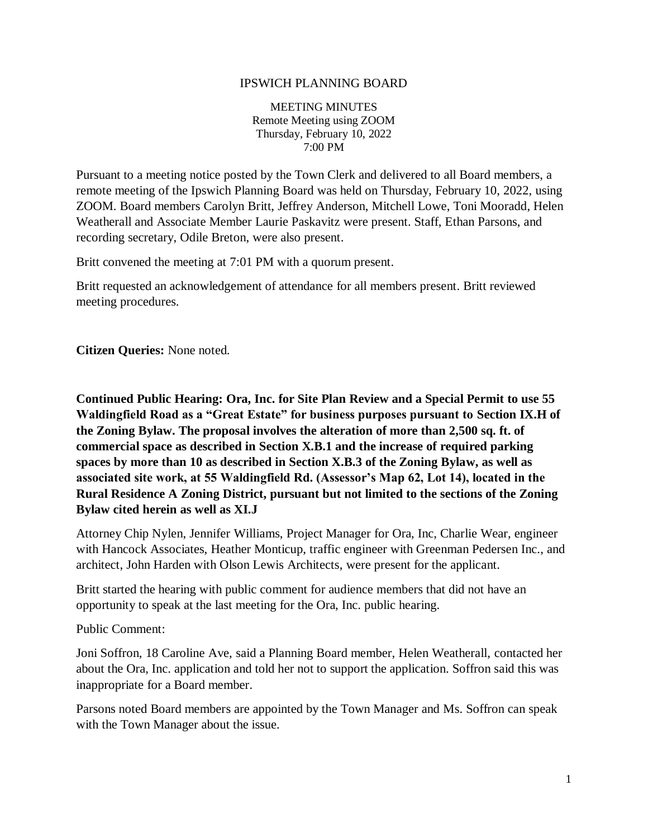## IPSWICH PLANNING BOARD

MEETING MINUTES Remote Meeting using ZOOM Thursday, February 10, 2022 7:00 PM

Pursuant to a meeting notice posted by the Town Clerk and delivered to all Board members, a remote meeting of the Ipswich Planning Board was held on Thursday, February 10, 2022, using ZOOM. Board members Carolyn Britt, Jeffrey Anderson, Mitchell Lowe, Toni Mooradd, Helen Weatherall and Associate Member Laurie Paskavitz were present. Staff, Ethan Parsons, and recording secretary, Odile Breton, were also present.

Britt convened the meeting at 7:01 PM with a quorum present.

Britt requested an acknowledgement of attendance for all members present. Britt reviewed meeting procedures.

**Citizen Queries:** None noted.

**Continued Public Hearing: Ora, Inc. for Site Plan Review and a Special Permit to use 55 Waldingfield Road as a "Great Estate" for business purposes pursuant to Section IX.H of the Zoning Bylaw. The proposal involves the alteration of more than 2,500 sq. ft. of commercial space as described in Section X.B.1 and the increase of required parking spaces by more than 10 as described in Section X.B.3 of the Zoning Bylaw, as well as associated site work, at 55 Waldingfield Rd. (Assessor's Map 62, Lot 14), located in the Rural Residence A Zoning District, pursuant but not limited to the sections of the Zoning Bylaw cited herein as well as XI.J**

Attorney Chip Nylen, Jennifer Williams, Project Manager for Ora, Inc, Charlie Wear, engineer with Hancock Associates, Heather Monticup, traffic engineer with Greenman Pedersen Inc., and architect, John Harden with Olson Lewis Architects, were present for the applicant.

Britt started the hearing with public comment for audience members that did not have an opportunity to speak at the last meeting for the Ora, Inc. public hearing.

Public Comment:

Joni Soffron, 18 Caroline Ave, said a Planning Board member, Helen Weatherall, contacted her about the Ora, Inc. application and told her not to support the application. Soffron said this was inappropriate for a Board member.

Parsons noted Board members are appointed by the Town Manager and Ms. Soffron can speak with the Town Manager about the issue.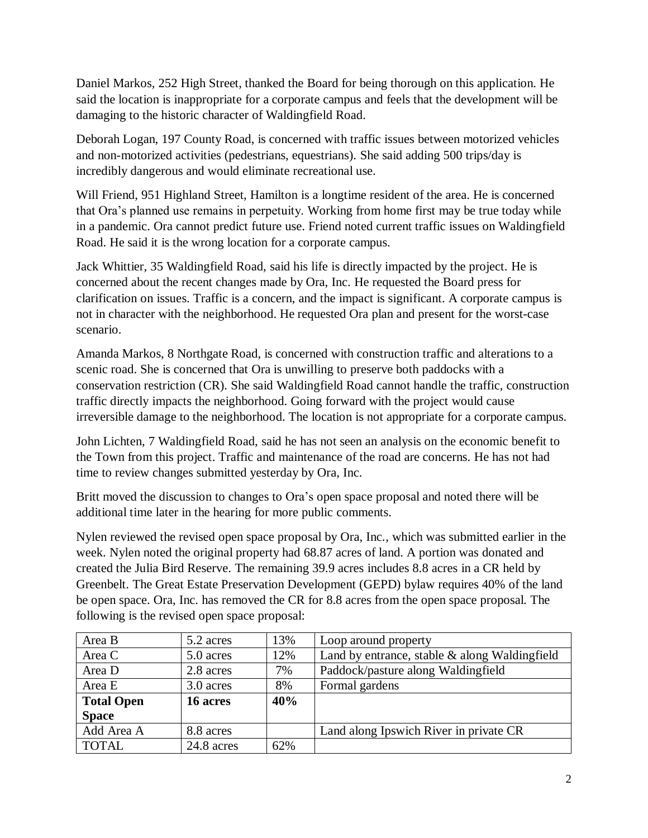Daniel Markos, 252 High Street, thanked the Board for being thorough on this application. He said the location is inappropriate for a corporate campus and feels that the development will be damaging to the historic character of Waldingfield Road.

Deborah Logan, 197 County Road, is concerned with traffic issues between motorized vehicles and non-motorized activities (pedestrians, equestrians). She said adding 500 trips/day is incredibly dangerous and would eliminate recreational use.

Will Friend, 951 Highland Street, Hamilton is a longtime resident of the area. He is concerned that Ora's planned use remains in perpetuity. Working from home first may be true today while in a pandemic. Ora cannot predict future use. Friend noted current traffic issues on Waldingfield Road. He said it is the wrong location for a corporate campus.

Jack Whittier, 35 Waldingfield Road, said his life is directly impacted by the project. He is concerned about the recent changes made by Ora, Inc. He requested the Board press for clarification on issues. Traffic is a concern, and the impact is significant. A corporate campus is not in character with the neighborhood. He requested Ora plan and present for the worst-case scenario.

Amanda Markos, 8 Northgate Road, is concerned with construction traffic and alterations to a scenic road. She is concerned that Ora is unwilling to preserve both paddocks with a conservation restriction (CR). She said Waldingfield Road cannot handle the traffic, construction traffic directly impacts the neighborhood. Going forward with the project would cause irreversible damage to the neighborhood. The location is not appropriate for a corporate campus.

John Lichten, 7 Waldingfield Road, said he has not seen an analysis on the economic benefit to the Town from this project. Traffic and maintenance of the road are concerns. He has not had time to review changes submitted yesterday by Ora, Inc.

Britt moved the discussion to changes to Ora's open space proposal and noted there will be additional time later in the hearing for more public comments.

Nylen reviewed the revised open space proposal by Ora, Inc., which was submitted earlier in the week. Nylen noted the original property had 68.87 acres of land. A portion was donated and created the Julia Bird Reserve. The remaining 39.9 acres includes 8.8 acres in a CR held by Greenbelt. The Great Estate Preservation Development (GEPD) bylaw requires 40% of the land be open space. Ora, Inc. has removed the CR for 8.8 acres from the open space proposal. The following is the revised open space proposal:

| Area B            | 5.2 acres  | 13% | Loop around property                             |
|-------------------|------------|-----|--------------------------------------------------|
| Area C            | 5.0 acres  | 12% | Land by entrance, stable $\&$ along Waldingfield |
| Area D            | 2.8 acres  | 7%  | Paddock/pasture along Waldingfield               |
| Area E            | 3.0 acres  | 8%  | Formal gardens                                   |
| <b>Total Open</b> | 16 acres   | 40% |                                                  |
| <b>Space</b>      |            |     |                                                  |
| Add Area A        | 8.8 acres  |     | Land along Ipswich River in private CR           |
| <b>TOTAL</b>      | 24.8 acres | 62% |                                                  |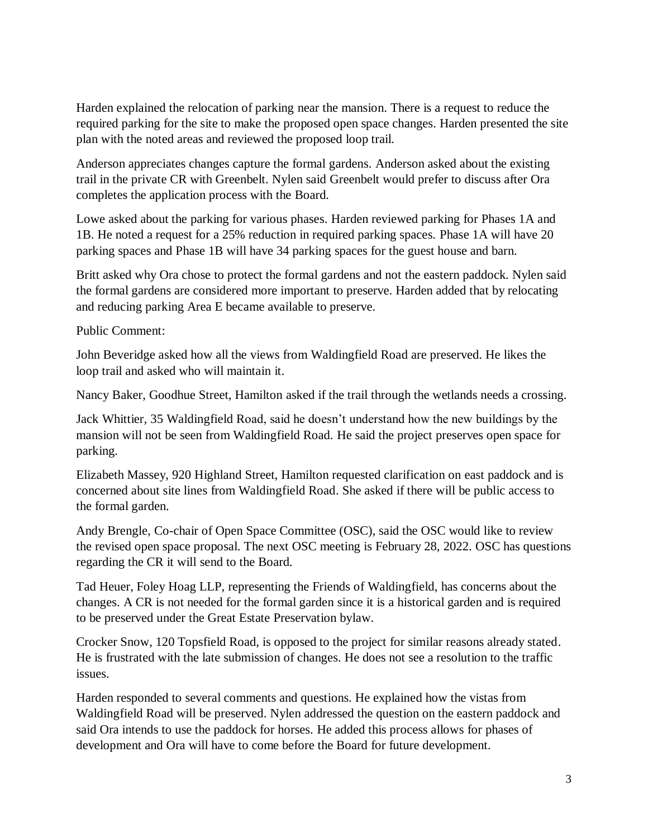Harden explained the relocation of parking near the mansion. There is a request to reduce the required parking for the site to make the proposed open space changes. Harden presented the site plan with the noted areas and reviewed the proposed loop trail.

Anderson appreciates changes capture the formal gardens. Anderson asked about the existing trail in the private CR with Greenbelt. Nylen said Greenbelt would prefer to discuss after Ora completes the application process with the Board.

Lowe asked about the parking for various phases. Harden reviewed parking for Phases 1A and 1B. He noted a request for a 25% reduction in required parking spaces. Phase 1A will have 20 parking spaces and Phase 1B will have 34 parking spaces for the guest house and barn.

Britt asked why Ora chose to protect the formal gardens and not the eastern paddock. Nylen said the formal gardens are considered more important to preserve. Harden added that by relocating and reducing parking Area E became available to preserve.

Public Comment:

John Beveridge asked how all the views from Waldingfield Road are preserved. He likes the loop trail and asked who will maintain it.

Nancy Baker, Goodhue Street, Hamilton asked if the trail through the wetlands needs a crossing.

Jack Whittier, 35 Waldingfield Road, said he doesn't understand how the new buildings by the mansion will not be seen from Waldingfield Road. He said the project preserves open space for parking.

Elizabeth Massey, 920 Highland Street, Hamilton requested clarification on east paddock and is concerned about site lines from Waldingfield Road. She asked if there will be public access to the formal garden.

Andy Brengle, Co-chair of Open Space Committee (OSC), said the OSC would like to review the revised open space proposal. The next OSC meeting is February 28, 2022. OSC has questions regarding the CR it will send to the Board.

Tad Heuer, Foley Hoag LLP, representing the Friends of Waldingfield, has concerns about the changes. A CR is not needed for the formal garden since it is a historical garden and is required to be preserved under the Great Estate Preservation bylaw.

Crocker Snow, 120 Topsfield Road, is opposed to the project for similar reasons already stated. He is frustrated with the late submission of changes. He does not see a resolution to the traffic issues.

Harden responded to several comments and questions. He explained how the vistas from Waldingfield Road will be preserved. Nylen addressed the question on the eastern paddock and said Ora intends to use the paddock for horses. He added this process allows for phases of development and Ora will have to come before the Board for future development.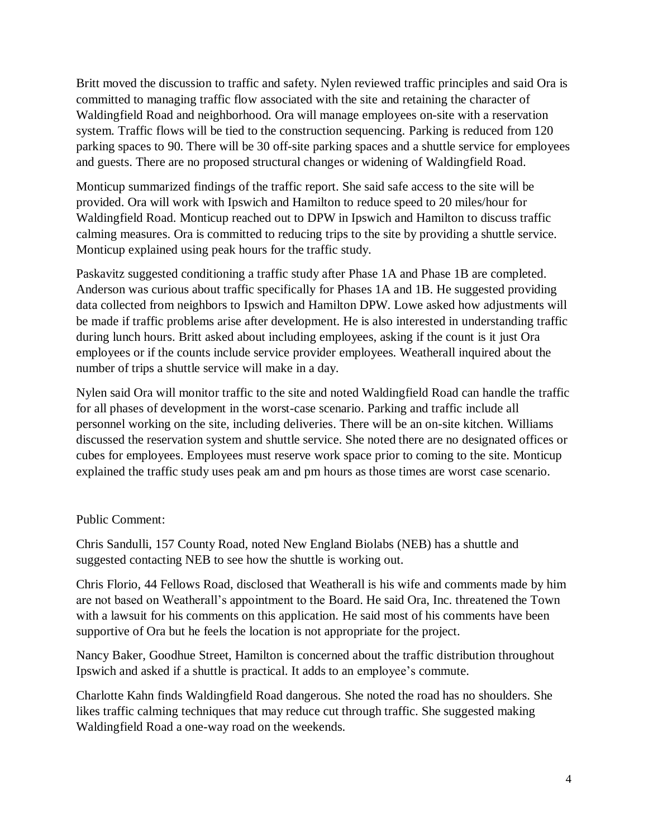Britt moved the discussion to traffic and safety. Nylen reviewed traffic principles and said Ora is committed to managing traffic flow associated with the site and retaining the character of Waldingfield Road and neighborhood. Ora will manage employees on-site with a reservation system. Traffic flows will be tied to the construction sequencing. Parking is reduced from 120 parking spaces to 90. There will be 30 off-site parking spaces and a shuttle service for employees and guests. There are no proposed structural changes or widening of Waldingfield Road.

Monticup summarized findings of the traffic report. She said safe access to the site will be provided. Ora will work with Ipswich and Hamilton to reduce speed to 20 miles/hour for Waldingfield Road. Monticup reached out to DPW in Ipswich and Hamilton to discuss traffic calming measures. Ora is committed to reducing trips to the site by providing a shuttle service. Monticup explained using peak hours for the traffic study.

Paskavitz suggested conditioning a traffic study after Phase 1A and Phase 1B are completed. Anderson was curious about traffic specifically for Phases 1A and 1B. He suggested providing data collected from neighbors to Ipswich and Hamilton DPW. Lowe asked how adjustments will be made if traffic problems arise after development. He is also interested in understanding traffic during lunch hours. Britt asked about including employees, asking if the count is it just Ora employees or if the counts include service provider employees. Weatherall inquired about the number of trips a shuttle service will make in a day.

Nylen said Ora will monitor traffic to the site and noted Waldingfield Road can handle the traffic for all phases of development in the worst-case scenario. Parking and traffic include all personnel working on the site, including deliveries. There will be an on-site kitchen. Williams discussed the reservation system and shuttle service. She noted there are no designated offices or cubes for employees. Employees must reserve work space prior to coming to the site. Monticup explained the traffic study uses peak am and pm hours as those times are worst case scenario.

## Public Comment:

Chris Sandulli, 157 County Road, noted New England Biolabs (NEB) has a shuttle and suggested contacting NEB to see how the shuttle is working out.

Chris Florio, 44 Fellows Road, disclosed that Weatherall is his wife and comments made by him are not based on Weatherall's appointment to the Board. He said Ora, Inc. threatened the Town with a lawsuit for his comments on this application. He said most of his comments have been supportive of Ora but he feels the location is not appropriate for the project.

Nancy Baker, Goodhue Street, Hamilton is concerned about the traffic distribution throughout Ipswich and asked if a shuttle is practical. It adds to an employee's commute.

Charlotte Kahn finds Waldingfield Road dangerous. She noted the road has no shoulders. She likes traffic calming techniques that may reduce cut through traffic. She suggested making Waldingfield Road a one-way road on the weekends.